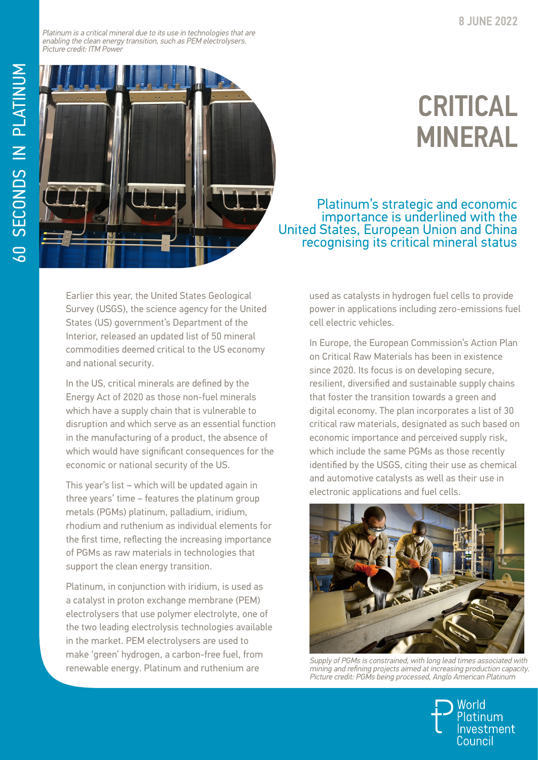Platinum is a critical mineral due to its use in technologies that are enabling the clean energy transition, such as PEM electrolysers. Picture credit: ITM Power



## CRITICAL MINERAL

Platinum's strategic and economic United States, European Union and China<br>recognising its critical mineral status

Earlier this year, the United States Geological Survey (USGS), the science agency for the United States (US) government's Department of the Interior, released an updated list of 50 mineral commodities deemed critical to the US economy and national security.

In the US, critical minerals are defined by the Energy Act of 2020 as those non-fuel minerals which have a supply chain that is vulnerable to disruption and which serve as an essential function in the manufacturing of a product, the absence of which would have significant consequences for the economic or national security of the US.

This year's list – which will be updated again in three years' time – features the platinum group metals (PGMs) platinum, palladium, iridium, rhodium and ruthenium as individual elements for the first time, reflecting the increasing importance of PGMs as raw materials in technologies that support the clean energy transition.

Platinum, in conjunction with iridium, is used as a catalyst in proton exchange membrane (PEM) electrolysers that use polymer electrolyte, one of the two leading electrolysis technologies available in the market. PEM electrolysers are used to make 'green' hydrogen, a carbon-free fuel, from renewable energy. Platinum and ruthenium are

used as catalysts in hydrogen fuel cells to provide power in applications including zero-emissions fuel cell electric vehicles.

In Europe, the European Commission's Action Plan on Critical Raw Materials has been in existence since 2020. Its focus is on developing secure, resilient, diversified and sustainable supply chains that foster the transition towards a green and digital economy. The plan incorporates a list of 30 critical raw materials, designated as such based on economic importance and perceived supply risk, which include the same PGMs as those recently identified by the USGS, citing their use as chemical and automotive catalysts as well as their use in electronic applications and fuel cells.



Supply of PGMs is constrained, with long lead times associated with mining and refining projects aimed at increasing production capacity. Picture credit: PGMs being processed, Anglo American Platinum